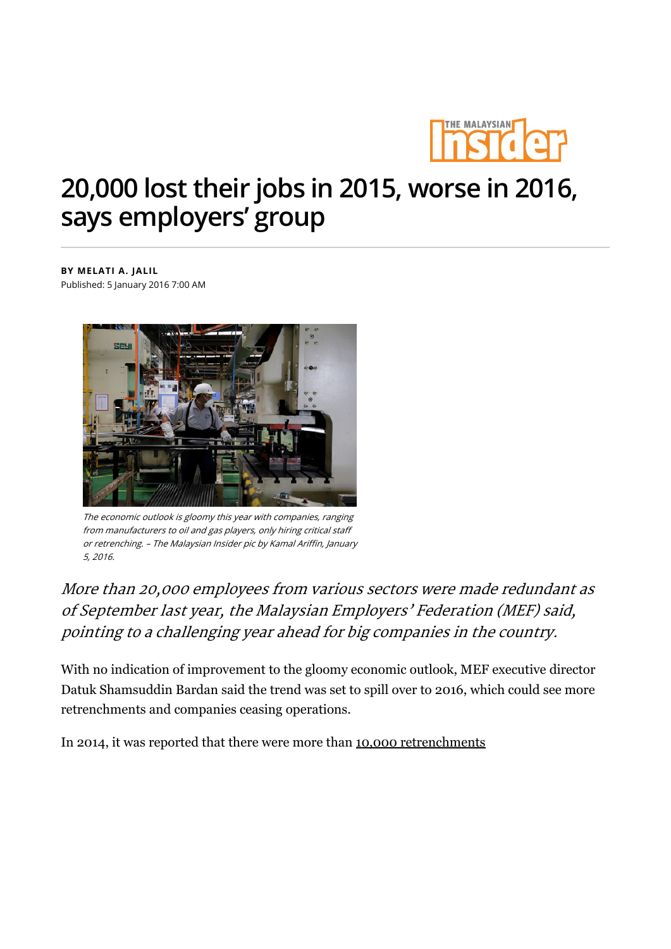

## 20,000 lost their jobs in 2015, worse in 2016, says employers' group

BY MELATI A. JALIL Published: 5 January 2016 7:00 AM



The economic outlook is gloomy this year with companies, ranging from manufacturers to oil and gas players, only hiring critical staff or retrenching. – The Malaysian Insider pic by Kamal Ariffin, January 5, 2016.

More than 20,000 employees from various sectors were made redundant as of September last year, the Malaysian Employers' Federation (MEF) said, pointing to a challenging year ahead for big companies in the country.

With no indication of improvement to the gloomy economic outlook, MEF executive director Datuk Shamsuddin Bardan said the trend was set to spill over to 2016, which could see more retrenchments and companies ceasing operations.

In 2014, it was reported that there were more than 10,000 retrenchments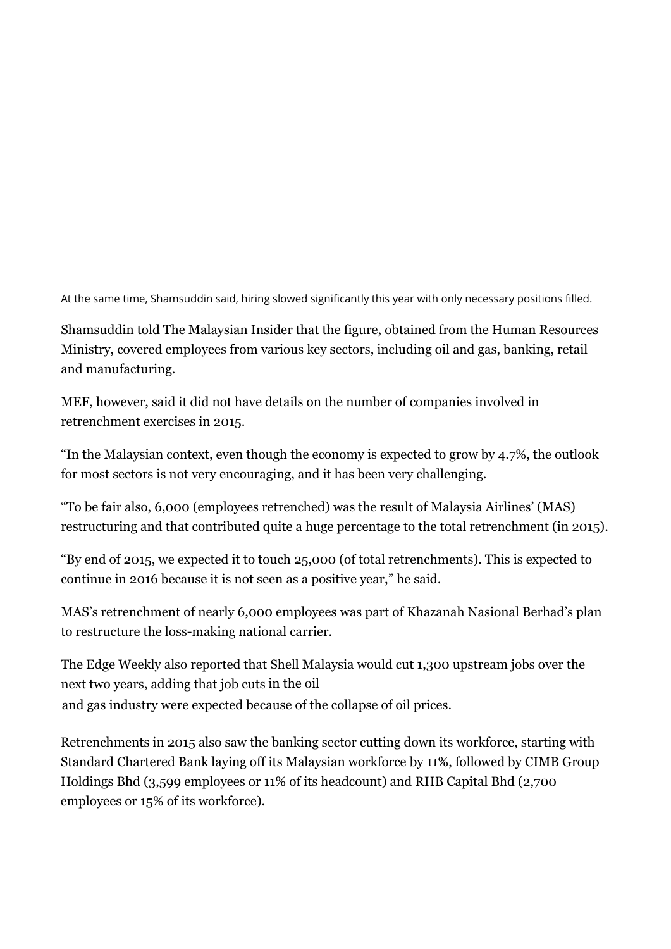At the same time, Shamsuddin said, hiring slowed significantly this year with only necessary positions filled.

Shamsuddin told The Malaysian Insider that the figure, obtained from the Human Resources Ministry, covered employees from various key sectors, including oil and gas, banking, retail and manufacturing.

MEF, however, said it did not have details on the number of companies involved in retrenchment exercises in 2015.

"In the Malaysian context, even though the economy is expected to grow by 4.7%, the outlook for most sectors is not very encouraging, and it has been very challenging.

"To be fair also, 6,000 (employees retrenched) was the result of Malaysia Airlines' (MAS) restructuring and that contributed quite a huge percentage to the total retrenchment (in 2015).

"By end of 2015, we expected it to touch 25,000 (of total retrenchments). This is expected to continue in 2016 because it is not seen as a positive year," he said.

MAS's retrenchment of nearly 6,000 employees was part of Khazanah Nasional Berhad's plan to restructure the loss-making national carrier.

The Edge Weekly also reported that Shell Malaysia would cut 1,300 upstream jobs over the next two years, adding that job cuts in the oil and gas industry were expected because of the collapse of oil prices.

Retrenchments in 2015 also saw the banking sector cutting down its workforce, starting with Standard Chartered Bank laying off its Malaysian workforce by 11%, followed by CIMB Group Holdings Bhd (3,599 employees or 11% of its headcount) and RHB Capital Bhd (2,700 employees or 15% of its workforce).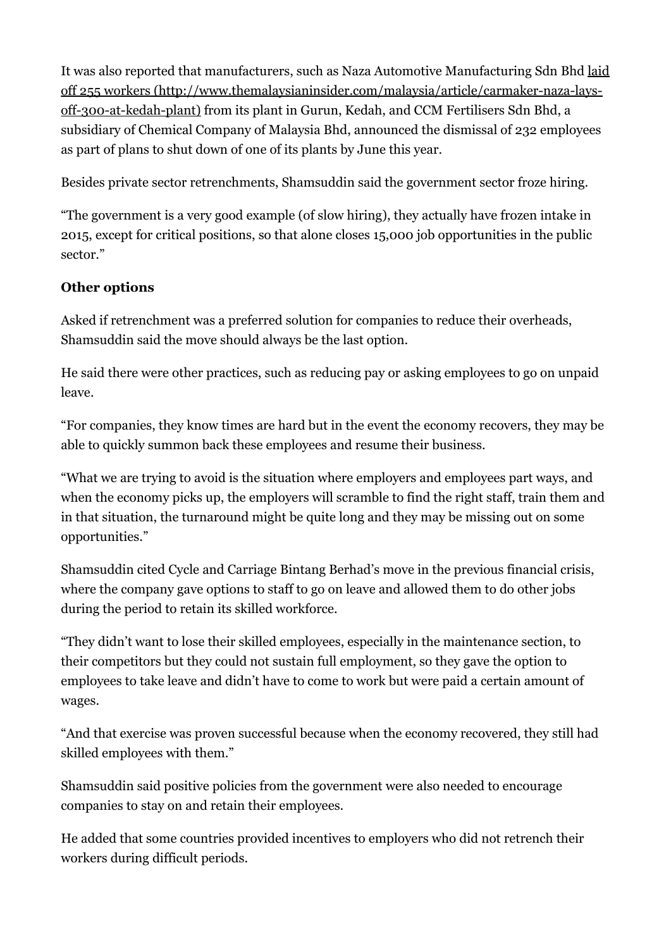It was also reported that manufacturers, such as Naza Automotive Manufacturing Sdn Bhd laid off 255 workers (http://www.themalaysianinsider.com/malaysia/article/carmaker-naza-laysoff-300-at-kedah-plant) from its plant in Gurun, Kedah, and CCM Fertilisers Sdn Bhd, a subsidiary of Chemical Company of Malaysia Bhd, announced the dismissal of 232 employees as part of plans to shut down of one of its plants by June this year.

Besides private sector retrenchments, Shamsuddin said the government sector froze hiring.

"The government is a very good example (of slow hiring), they actually have frozen intake in 2015, except for critical positions, so that alone closes 15,000 job opportunities in the public sector."

## Other options

Asked if retrenchment was a preferred solution for companies to reduce their overheads, Shamsuddin said the move should always be the last option.

He said there were other practices, such as reducing pay or asking employees to go on unpaid leave.

"For companies, they know times are hard but in the event the economy recovers, they may be able to quickly summon back these employees and resume their business.

"What we are trying to avoid is the situation where employers and employees part ways, and when the economy picks up, the employers will scramble to find the right staff, train them and in that situation, the turnaround might be quite long and they may be missing out on some opportunities."

Shamsuddin cited Cycle and Carriage Bintang Berhad's move in the previous financial crisis, where the company gave options to staff to go on leave and allowed them to do other jobs during the period to retain its skilled workforce.

"They didn't want to lose their skilled employees, especially in the maintenance section, to their competitors but they could not sustain full employment, so they gave the option to employees to take leave and didn't have to come to work but were paid a certain amount of wages.

"And that exercise was proven successful because when the economy recovered, they still had skilled employees with them."

Shamsuddin said positive policies from the government were also needed to encourage companies to stay on and retain their employees.

He added that some countries provided incentives to employers who did not retrench their workers during difficult periods.